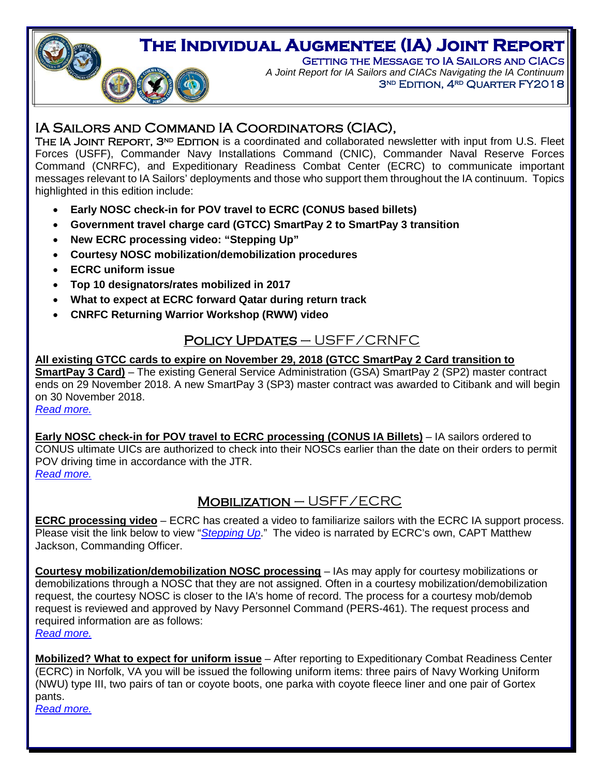

*A Joint Report for IA Sailors and CIACs Navigating the IA Continuum* 3<sup>ND</sup> EDITION, 4<sup>RD</sup> QUARTER FY2018

# Ī

IA SAILORS AND COMMAND IA COORDINATORS (CIAC),<br>THE IA JOINT REPORT, 3<sup>nd</sup> EDITION is a coordinated and collaborated newsletter with input from U.S. Fleet Forces (USFF), Commander Navy Installations Command (CNIC), Commander Naval Reserve Forces Command (CNRFC), and Expeditionary Readiness Combat Center (ECRC) to communicate important messages relevant to IA Sailors' deployments and those who support them throughout the IA continuum. Topics highlighted in this edition include:

- **Early NOSC check-in for POV travel to ECRC (CONUS based billets)**
- **Government travel charge card (GTCC) SmartPay 2 to SmartPay 3 transition**
- **New ECRC processing video: "Stepping Up"**
- **Courtesy NOSC mobilization/demobilization procedures**
- **ECRC uniform issue**

O

- **Top 10 designators/rates mobilized in 2017**
- **What to expect at ECRC forward Qatar during return track**
- **CNRFC Returning Warrior Workshop (RWW) video**

# Policy Updates – USFF/CRNFC

#### **All existing GTCC cards to expire on November 29, 2018 (GTCC SmartPay 2 Card transition to SmartPay 3 Card)** – The existing General Service Administration (GSA) SmartPay 2 (SP2) master contract ends on 29 November 2018. A new SmartPay 3 (SP3) master contract was awarded to Citibank and will begin on 30 November 2018.

*[Read more.](#page-2-0)*

<span id="page-0-0"></span> $\overline{a}$ 

**Early NOSC check-in for POV travel to ECRC processing (CONUS IA Billets)** – IA sailors ordered to CONUS ultimate UICs are authorized to check into their NOSCs earlier than the date on their orders to permit POV driving time in accordance with the JTR. *[Read more.](#page-2-1)*

# MOBILIZATION - USFF/ECRC

**ECRC processing video** – ECRC has created a video to familiarize sailors with the ECRC IA support process. Please visit the link below to view "*[Stepping Up](https://youtu.be/xy1-mlqJnmg)*." The video is narrated by ECRC's own, CAPT Matthew Jackson, Commanding Officer.

**Courtesy mobilization/demobilization NOSC processing** – IAs may apply for courtesy mobilizations or demobilizations through a NOSC that they are not assigned. Often in a courtesy mobilization/demobilization request, the courtesy NOSC is closer to the IA's home of record. The process for a courtesy mob/demob request is reviewed and approved by Navy Personnel Command (PERS-461). The request process and required information are as follows: *[Read more.](#page-3-0)*

**Mobilized? What to expect for uniform issue** – After reporting to Expeditionary Combat Readiness Center (ECRC) in Norfolk, VA you will be issued the following uniform items: three pairs of Navy Working Uniform (NWU) type III, two pairs of tan or coyote boots, one parka with coyote fleece liner and one pair of Gortex pants. *[Read more.](#page-4-0)*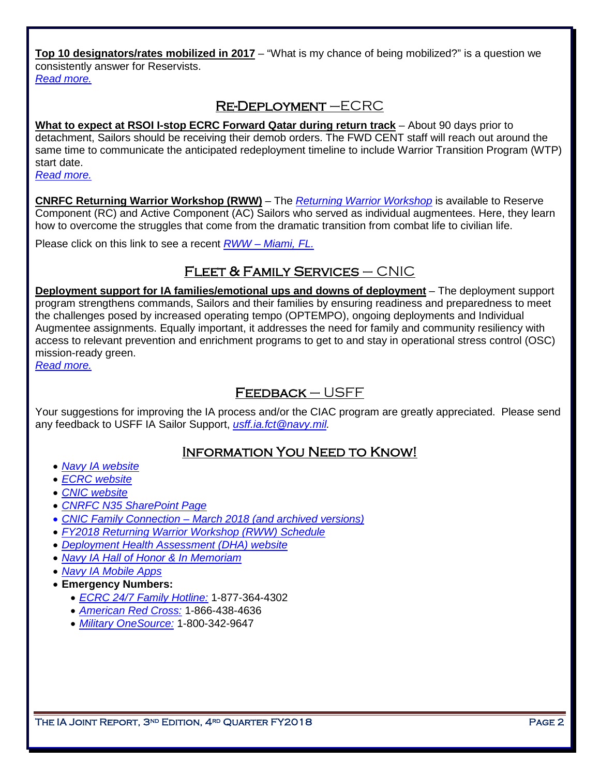**Top 10 designators/rates mobilized in 2017** – "What is my chance of being mobilized?" is a question we consistently answer for Reservists.

*[Read more.](#page-5-0)*

# Re-Deployment –ECRC

**What to expect at RSOI I-stop ECRC Forward Qatar during return track** – About 90 days prior to detachment, Sailors should be receiving their demob orders. The FWD CENT staff will reach out around the same time to communicate the anticipated redeployment timeline to include Warrior Transition Program (WTP) start date.

*[Read more.](#page-6-0)*

**CNRFC Returning Warrior Workshop (RWW)** – The *[Returning Warrior Workshop](http://www.public.navy.mil/IA/Pages/R3_FM_RWW.aspx)* is available to Reserve Component (RC) and Active Component (AC) Sailors who served as individual augmentees. Here, they learn how to overcome the struggles that come from the dramatic transition from combat life to civilian life.

Please click on this link to see a recent *RWW – [Miami, FL.](https://youtu.be/vU4DvSMkc7o)* 

# Fleet & Family Services – CNIC

**Deployment support for IA families/emotional ups and downs of deployment** – The deployment support program strengthens commands, Sailors and their families by ensuring readiness and preparedness to meet the challenges posed by increased operating tempo (OPTEMPO), ongoing deployments and Individual Augmentee assignments. Equally important, it addresses the need for family and community resiliency with access to relevant prevention and enrichment programs to get to and stay in operational stress control (OSC) mission-ready green.

*[Read more.](#page-7-0)*

# Feedback – USFF

Your suggestions for improving the IA process and/or the CIAC program are greatly appreciated. Please send any feedback to USFF IA Sailor Support, *[usff.ia.fct@navy.mil.](mailto:usff.ia.fct@navy.mil)* 

## Information You Need to Know!

- *[Navy IA website](http://www.ia.navy.mil/)*
- *[ECRC website](http://www.ecrc.navy.mil/)*
- *[CNIC website](http://www.cnic.navy.mil/)*
- *[CNRFC N35 SharePoint Page](https://private.navyreserve.navy.mil/cnrfc/N-Codes/N3)*
- *[CNIC Family Connection –](https://www.cnic.navy.mil/ffr/family_readiness/fleet_and_family_support_program.html) March 2018 (and archived versions)*
- *FY2018 [Returning Warrior Workshop \(RWW\) Schedule](http://www.public.navy.mil/ia/Pages/rww.aspx)*
- *[Deployment Health Assessment \(DHA\) website](http://www.dha.navy.mil/)*
- *[Navy IA Hall of Honor & In Memoriam](http://www.ia.navy.mil/)*
- *[Navy IA Mobile Apps](http://www.public.navy.mil/ia/Pages/mobile.aspx)*
- **Emergency Numbers:** 
	- *ECRC [24/7 Family Hotline:](mailto:ecrc.fs.fct@navy.mil)* 1-877-364-4302
	- *[American Red Cross:](http://www.redcross.org/)* 1-866-438-4636
	- *[Military OneSource:](http://www.militaryonesource.com/)* 1-800-342-9647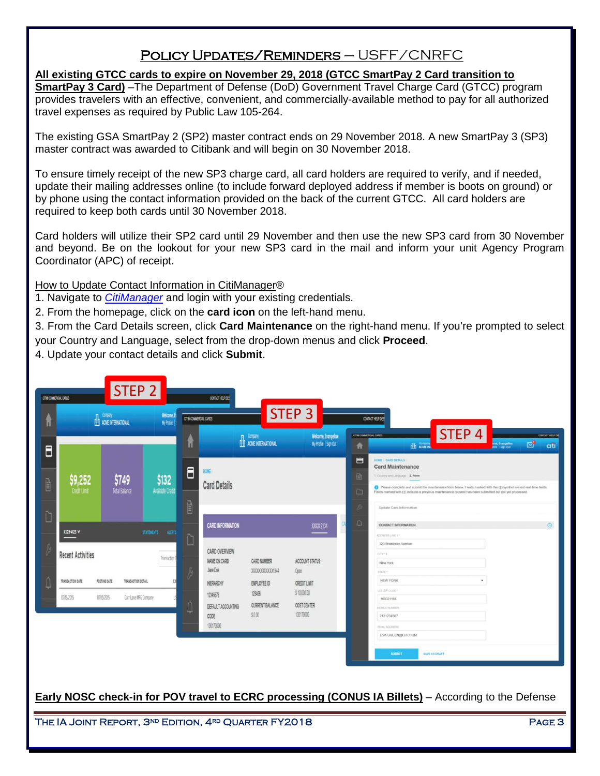# Policy Updates/Reminders – USFF/CNRFC

## <span id="page-2-0"></span>**All existing GTCC cards to expire on November 29, 2018 (GTCC SmartPay 2 Card transition to**

**SmartPay 3 Card)** –The Department of Defense (DoD) Government Travel Charge Card (GTCC) program provides travelers with an effective, convenient, and commercially-available method to pay for all authorized travel expenses as required by Public Law 105-264.

The existing GSA SmartPay 2 (SP2) master contract ends on 29 November 2018. A new SmartPay 3 (SP3) master contract was awarded to Citibank and will begin on 30 November 2018.

To ensure timely receipt of the new SP3 charge card, all card holders are required to verify, and if needed, update their mailing addresses online (to include forward deployed address if member is boots on ground) or by phone using the contact information provided on the back of the current GTCC. All card holders are required to keep both cards until 30 November 2018.

Card holders will utilize their SP2 card until 29 November and then use the new SP3 card from 30 November and beyond. Be on the lookout for your new SP3 card in the mail and inform your unit Agency Program Coordinator (APC) of receipt.

How to Update Contact Information in CitiManager®

1. Navigate to *[CitiManager](http://www.citimanager.com/login)* and login with your existing credentials.

2. From the homepage, click on the **card icon** on the left-hand menu.

3. From the Card Details screen, click **Card Maintenance** on the right-hand menu. If you're prompted to select your Country and Language, select from the drop-down menus and click **Proceed**.

4. Update your contact details and click **Submit**.

| CITIB COMMERCIAL CARDS |                                | STEP <sub>2</sub>                                                         | Welcome, Es                      |                        | CONTACT HELP DEE                                                |                                                   | STEP 3                                                         |                             |                                                                                                                                                                                                                                                                                                                   |                         |
|------------------------|--------------------------------|---------------------------------------------------------------------------|----------------------------------|------------------------|-----------------------------------------------------------------|---------------------------------------------------|----------------------------------------------------------------|-----------------------------|-------------------------------------------------------------------------------------------------------------------------------------------------------------------------------------------------------------------------------------------------------------------------------------------------------------------|-------------------------|
| Θ                      |                                | Company<br>ACME INTERNATIONAL                                             | My Profile                       | CITIB COMMERCIAL CARDS |                                                                 | Company<br>ACME INTERNATIONAL                     | Welcome, Evangeline<br>My Profile   Sign Out                   | CITIN COMMERCIAL CARDS<br>会 | CONTACT HELP DES<br>STEP <sub>4</sub><br>$\boxtimes^0$<br>ne, Evangelini<br>Ne    San Out<br><b>ED</b> ACME IN                                                                                                                                                                                                    | CONTACT HELP OR<br>citi |
| Elimp                  | \$9,252<br><b>Credit Limit</b> | \$749<br><b>Total Balance</b>                                             | \$132<br><b>Available Credit</b> | Ε                      | HOME:<br><b>Card Details</b>                                    |                                                   |                                                                | E<br>目<br>Ò                 | HOME / CARD DETAILS<br><b>Card Maintenance</b><br>1 Country and Language 2. Form<br>Please complete and submit the maintenance form below. Fields marked with the (5) symbol are not real time fields.<br>Fields marked with (1) indicate a previous maintenance request has been submitted but not yet processed |                         |
|                        | XX23-4125 V                    |                                                                           | <b>STATEMENTS</b><br>ALERTS      | Eling                  | <b>CARD INFORMATION</b>                                         |                                                   | XXXX2134                                                       | B<br>$\Box$                 | Update Card Information<br><b>CONTACT INFORMATION</b><br>ADDRESS LINE 1*                                                                                                                                                                                                                                          | $\odot$                 |
|                        | <b>Recent Activities</b>       |                                                                           | Transaction D                    |                        | CARD OVERVIEW<br>NAME ON CARD<br>Jane Doe                       | CARD NUMBER<br>XXXXXXXXXXX1344                    | ACCOUNT STATUS<br>Open                                         |                             | 123 Broadway Avenue<br>CITY 1:<br>New York<br>STATE 1                                                                                                                                                                                                                                                             |                         |
|                        | TRANSACTION DATE<br>07/15/2015 | POSTING DATE<br>TRANSACTION DETAIL<br>07/15/2015<br>Carr Lane MFG Company | EY                               |                        | HERARCHY<br>12345678<br>DEFAULT ACCOUNTING<br>CODE<br>100170000 | EMPLOYEE ID<br>123456<br>CURRENT BALANCE<br>\$000 | <b>CREDIT LIMIT</b><br>\$10,000.00<br>COST CENTER<br>100170000 |                             | <b>NEW YORK</b><br>U.S. ZIP CODE<br>100021164<br>MOBLE HUMBER<br>2121234567<br>EMAL ADDRESS                                                                                                                                                                                                                       |                         |
|                        |                                |                                                                           |                                  |                        |                                                                 |                                                   |                                                                |                             | EVA.GREEN@CITI.COM<br><b>SUBMIT</b><br><b>SAVE AS CRAFT</b>                                                                                                                                                                                                                                                       |                         |
|                        |                                |                                                                           |                                  |                        |                                                                 |                                                   |                                                                |                             | Early NOSC check-in for POV travel to ECRC processing (CONUS IA Billets) - According to the Defense                                                                                                                                                                                                               |                         |

<span id="page-2-1"></span>THE IA JOINT REPORT, 3<sup>nd</sup> Edition, 4<sup>rd</sup> Quarter FY2018 Page 3 and 2010 Page 3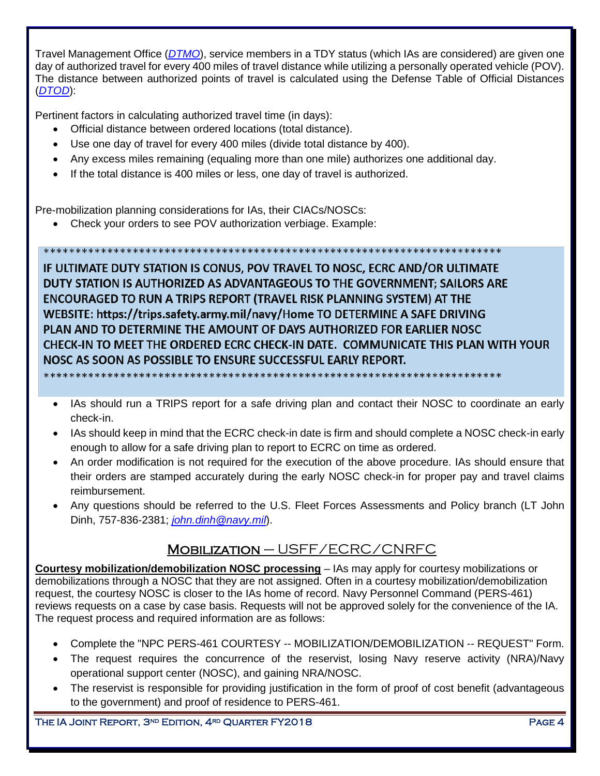Travel Management Office (*[DTMO](http://www.defensetravel.dod.mil/site/faqtvlpoc.cfm)*), service members in a TDY status (which IAs are considered) are given one day of authorized travel for every 400 miles of travel distance while utilizing a personally operated vehicle (POV). The distance between authorized points of travel is calculated using the Defense Table of Official Distances (*[DTOD](https://dtod.sddc.army.mil/Default.aspx)*):

Pertinent factors in calculating authorized travel time (in days):

- Official distance between ordered locations (total distance).
- Use one day of travel for every 400 miles (divide total distance by 400).
- Any excess miles remaining (equaling more than one mile) authorizes one additional day.

• If the total distance is 400 miles or less, one day of travel is authorized.

Pre-mobilization planning considerations for IAs, their CIACs/NOSCs:

• Check your orders to see POV authorization verbiage. Example:

IF ULTIMATE DUTY STATION IS CONUS, POV TRAVEL TO NOSC, ECRC AND/OR ULTIMATE DUTY STATION IS AUTHORIZED AS ADVANTAGEOUS TO THE GOVERNMENT; SAILORS ARE **ENCOURAGED TO RUN A TRIPS REPORT (TRAVEL RISK PLANNING SYSTEM) AT THE** WEBSITE: https://trips.safety.army.mil/navy/Home TO DETERMINE A SAFE DRIVING PLAN AND TO DETERMINE THE AMOUNT OF DAYS AUTHORIZED FOR EARLIER NOSC CHECK-IN TO MEET THE ORDERED ECRC CHECK-IN DATE. COMMUNICATE THIS PLAN WITH YOUR NOSC AS SOON AS POSSIBLE TO ENSURE SUCCESSFUL EARLY REPORT.

\*\*\*\*\*\*\*\*\*\*\*\*\*\*\*\*\*

IAs should run a TRIPS report for a safe driving plan and contact their NOSC to coordinate an early check-in.

- IAs should keep in mind that the ECRC check-in date is firm and should complete a NOSC check-in early enough to allow for a safe driving plan to report to ECRC on time as ordered.
- An order modification is not required for the execution of the above procedure. IAs should ensure that their orders are stamped accurately during the early NOSC check-in for proper pay and travel claims reimbursement.
- Any questions should be referred to the U.S. Fleet Forces Assessments and Policy branch (LT John Dinh, 757-836-2381; *[john.dinh@navy.mil](mailto:john.dinh@navy.mil)*).

# Mobilization – USFF/ECRC/CNRFC

<span id="page-3-0"></span>**Courtesy mobilization/demobilization NOSC processing** – IAs may apply for courtesy mobilizations or demobilizations through a NOSC that they are not assigned. Often in a courtesy mobilization/demobilization request, the courtesy NOSC is closer to the IAs home of record. Navy Personnel Command (PERS-461) reviews requests on a case by case basis. Requests will not be approved solely for the convenience of the IA. The request process and required information are as follows:

- Complete the "NPC PERS-461 COURTESY -- MOBILIZATION/DEMOBILIZATION -- REQUEST" Form.
- The request requires the concurrence of the reservist, losing Navy reserve activity (NRA)/Navy operational support center (NOSC), and gaining NRA/NOSC.
- The reservist is responsible for providing justification in the form of proof of cost benefit (advantageous to the government) and proof of residence to PERS-461.

THE IA JOINT REPORT, 3<sup>ND</sup> EDITION, 4<sup>RD</sup> QUARTER FY2018 PAGE 4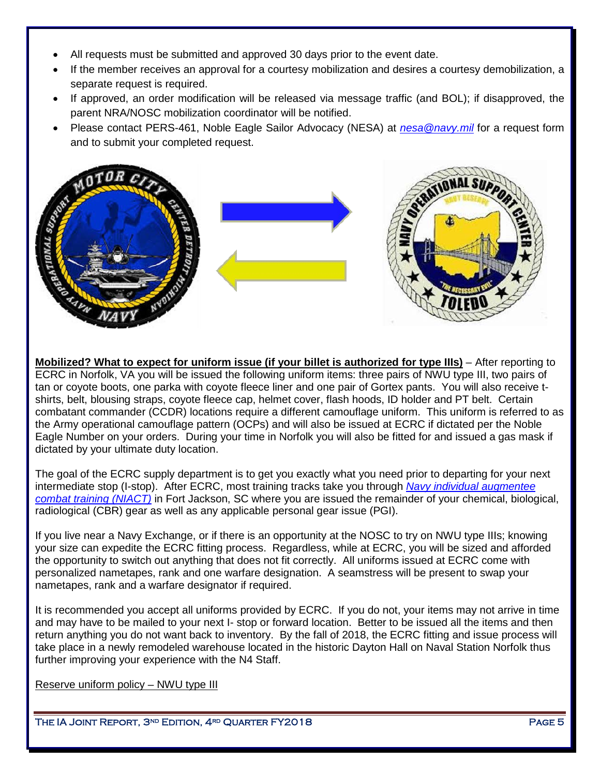- All requests must be submitted and approved 30 days prior to the event date.
- If the member receives an approval for a courtesy mobilization and desires a courtesy demobilization, a separate request is required.
- If approved, an order modification will be released via message traffic (and BOL); if disapproved, the parent NRA/NOSC mobilization coordinator will be notified.
- Please contact PERS-461, Noble Eagle Sailor Advocacy (NESA) at *[nesa@navy.mil](mailto:nesa@navy.mil)* for a request form and to submit your completed request.



<span id="page-4-0"></span>**Mobilized? What to expect for uniform issue (if your billet is authorized for type IIIs)** – After reporting to ECRC in Norfolk, VA you will be issued the following uniform items: three pairs of NWU type III, two pairs of tan or coyote boots, one parka with coyote fleece liner and one pair of Gortex pants. You will also receive tshirts, belt, blousing straps, coyote fleece cap, helmet cover, flash hoods, ID holder and PT belt. Certain combatant commander (CCDR) locations require a different camouflage uniform. This uniform is referred to as the Army operational camouflage pattern (OCPs) and will also be issued at ECRC if dictated per the Noble Eagle Number on your orders. During your time in Norfolk you will also be fitted for and issued a gas mask if dictated by your ultimate duty location.

The goal of the ECRC supply department is to get you exactly what you need prior to departing for your next intermediate stop (I-stop). After ECRC, most training tracks take you through *[Navy individual augmentee](http://www.public.navy.mil/NECC/ecrc/Pages/FortJackson.aspx)  [combat training \(NIACT\)](http://www.public.navy.mil/NECC/ecrc/Pages/FortJackson.aspx)* in Fort Jackson, SC where you are issued the remainder of your chemical, biological, radiological (CBR) gear as well as any applicable personal gear issue (PGI).

If you live near a Navy Exchange, or if there is an opportunity at the NOSC to try on NWU type IIIs; knowing your size can expedite the ECRC fitting process. Regardless, while at ECRC, you will be sized and afforded the opportunity to switch out anything that does not fit correctly. All uniforms issued at ECRC come with personalized nametapes, rank and one warfare designation. A seamstress will be present to swap your nametapes, rank and a warfare designator if required.

It is recommended you accept all uniforms provided by ECRC. If you do not, your items may not arrive in time and may have to be mailed to your next I- stop or forward location. Better to be issued all the items and then return anything you do not want back to inventory. By the fall of 2018, the ECRC fitting and issue process will take place in a newly remodeled warehouse located in the historic Dayton Hall on Naval Station Norfolk thus further improving your experience with the N4 Staff.

Reserve uniform policy – NWU type III

THE IA JOINT REPORT, 3<sup>nd</sup> Edition, 4<sup>rd</sup> Quarter FY2018 Page 5 and the state of the Page 5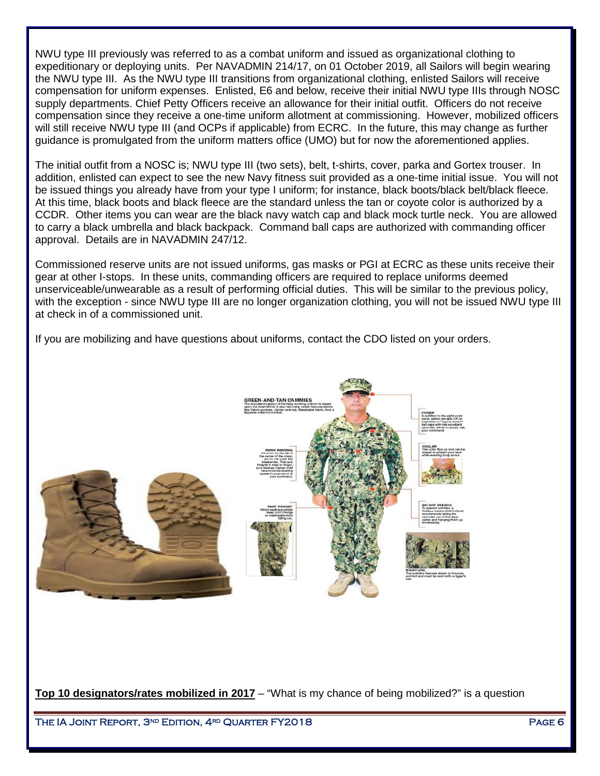NWU type III previously was referred to as a combat uniform and issued as organizational clothing to expeditionary or deploying units. Per NAVADMIN 214/17, on 01 October 2019, all Sailors will begin wearing the NWU type III. As the NWU type III transitions from organizational clothing, enlisted Sailors will receive compensation for uniform expenses. Enlisted, E6 and below, receive their initial NWU type IIIs through NOSC supply departments. Chief Petty Officers receive an allowance for their initial outfit. Officers do not receive compensation since they receive a one-time uniform allotment at commissioning. However, mobilized officers will still receive NWU type III (and OCPs if applicable) from ECRC. In the future, this may change as further guidance is promulgated from the uniform matters office (UMO) but for now the aforementioned applies.

The initial outfit from a NOSC is; NWU type III (two sets), belt, t-shirts, cover, parka and Gortex trouser. In addition, enlisted can expect to see the new Navy fitness suit provided as a one-time initial issue. You will not be issued things you already have from your type I uniform; for instance, black boots/black belt/black fleece. At this time, black boots and black fleece are the standard unless the tan or coyote color is authorized by a CCDR. Other items you can wear are the black navy watch cap and black mock turtle neck. You are allowed to carry a black umbrella and black backpack. Command ball caps are authorized with commanding officer approval. Details are in NAVADMIN 247/12.

Commissioned reserve units are not issued uniforms, gas masks or PGI at ECRC as these units receive their gear at other I-stops. In these units, commanding officers are required to replace uniforms deemed unserviceable/unwearable as a result of performing official duties. This will be similar to the previous policy, with the exception - since NWU type III are no longer organization clothing, you will not be issued NWU type III at check in of a commissioned unit.

If you are mobilizing and have questions about uniforms, contact the CDO listed on your orders.



<span id="page-5-0"></span>**Top 10 designators/rates mobilized in 2017** – "What is my chance of being mobilized?" is a question

THE IA JOINT REPORT, 3<sup>nd</sup> Edition, 4<sup>rd</sup> Quarter FY2018 Page 6 Page 6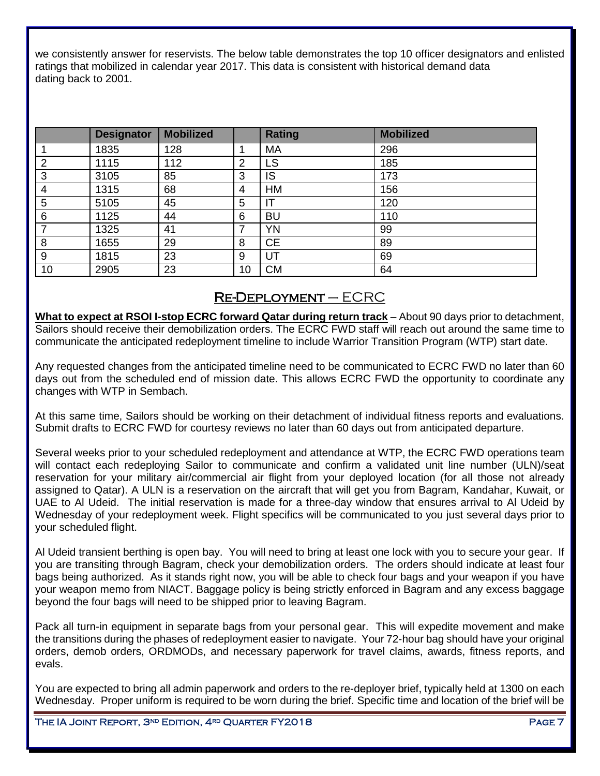we consistently answer for reservists. The below table demonstrates the top 10 officer designators and enlisted ratings that mobilized in calendar year 2017. This data is consistent with historical demand data dating back to 2001.

|    | <b>Designator</b> | <b>Mobilized</b> |    | <b>Rating</b> | <b>Mobilized</b> |
|----|-------------------|------------------|----|---------------|------------------|
|    | 1835              | 128              |    | MA            | 296              |
| 2  | 1115              | 112              | 2  | LS            | 185              |
| 3  | 3105              | 85               | 3  | IS            | 173              |
| 4  | 1315              | 68               | 4  | <b>HM</b>     | 156              |
| 5  | 5105              | 45               | 5  | ΙT            | 120              |
| 6  | 1125              | 44               | 6  | <b>BU</b>     | 110              |
|    | 1325              | 41               | ⇁  | YN            | 99               |
| 8  | 1655              | 29               | 8  | <b>CE</b>     | 89               |
| 9  | 1815              | 23               | 9  | UT            | 69               |
| 10 | 2905              | 23               | 10 | <b>CM</b>     | 64               |

## Re-Deployment – ECRC

<span id="page-6-0"></span>**What to expect at RSOI I-stop ECRC forward Qatar during return track** – About 90 days prior to detachment, Sailors should receive their demobilization orders. The ECRC FWD staff will reach out around the same time to communicate the anticipated redeployment timeline to include Warrior Transition Program (WTP) start date.

Any requested changes from the anticipated timeline need to be communicated to ECRC FWD no later than 60 days out from the scheduled end of mission date. This allows ECRC FWD the opportunity to coordinate any changes with WTP in Sembach.

At this same time, Sailors should be working on their detachment of individual fitness reports and evaluations. Submit drafts to ECRC FWD for courtesy reviews no later than 60 days out from anticipated departure.

Several weeks prior to your scheduled redeployment and attendance at WTP, the ECRC FWD operations team will contact each redeploying Sailor to communicate and confirm a validated unit line number (ULN)/seat reservation for your military air/commercial air flight from your deployed location (for all those not already assigned to Qatar). A ULN is a reservation on the aircraft that will get you from Bagram, Kandahar, Kuwait, or UAE to Al Udeid. The initial reservation is made for a three-day window that ensures arrival to Al Udeid by Wednesday of your redeployment week. Flight specifics will be communicated to you just several days prior to your scheduled flight.

Al Udeid transient berthing is open bay. You will need to bring at least one lock with you to secure your gear. If you are transiting through Bagram, check your demobilization orders. The orders should indicate at least four bags being authorized. As it stands right now, you will be able to check four bags and your weapon if you have your weapon memo from NIACT. Baggage policy is being strictly enforced in Bagram and any excess baggage beyond the four bags will need to be shipped prior to leaving Bagram.

Pack all turn-in equipment in separate bags from your personal gear. This will expedite movement and make the transitions during the phases of redeployment easier to navigate. Your 72-hour bag should have your original orders, demob orders, ORDMODs, and necessary paperwork for travel claims, awards, fitness reports, and evals.

You are expected to bring all admin paperwork and orders to the re-deployer brief, typically held at 1300 on each Wednesday. Proper uniform is required to be worn during the brief. Specific time and location of the brief will be

THE IA JOINT REPORT, 3<sup>nd</sup> Edition, 4<sup>rd</sup> Quarter FY2018 Page 7 Page 7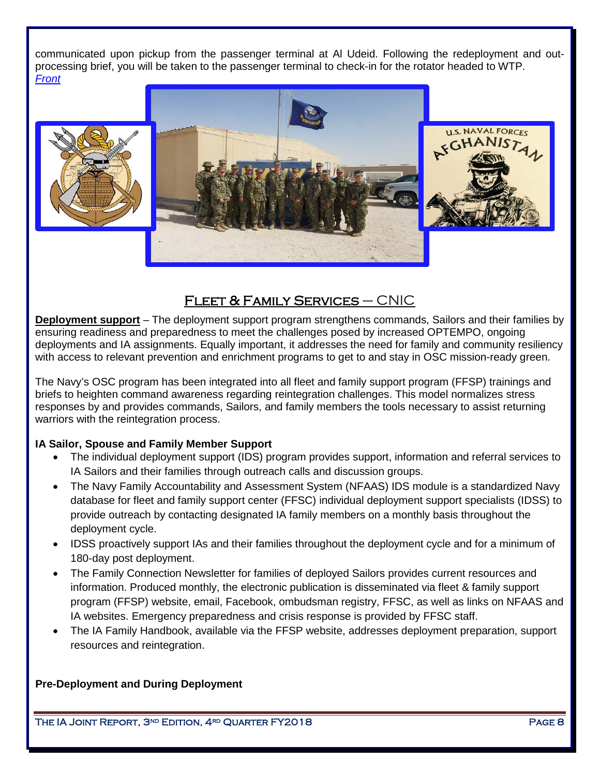communicated upon pickup from the passenger terminal at Al Udeid. Following the redeployment and outprocessing brief, you will be taken to the passenger terminal to check-in for the rotator headed to WTP. *[Front](#page-0-0)* 







# FLEET & FAMILY SERVICES  $-$  CNIC

<span id="page-7-0"></span>**Deployment support** – The deployment support program strengthens commands, Sailors and their families by ensuring readiness and preparedness to meet the challenges posed by increased OPTEMPO, ongoing deployments and IA assignments. Equally important, it addresses the need for family and community resiliency with access to relevant prevention and enrichment programs to get to and stay in OSC mission-ready green.

The Navy's OSC program has been integrated into all fleet and family support program (FFSP) trainings and briefs to heighten command awareness regarding reintegration challenges. This model normalizes stress responses by and provides commands, Sailors, and family members the tools necessary to assist returning warriors with the reintegration process.

## **IA Sailor, Spouse and Family Member Support**

- The individual deployment support (IDS) program provides support, information and referral services to IA Sailors and their families through outreach calls and discussion groups.
- The Navy Family Accountability and Assessment System (NFAAS) IDS module is a standardized Navy database for fleet and family support center (FFSC) individual deployment support specialists (IDSS) to provide outreach by contacting designated IA family members on a monthly basis throughout the deployment cycle.
- IDSS proactively support IAs and their families throughout the deployment cycle and for a minimum of 180-day post deployment.
- The Family Connection Newsletter for families of deployed Sailors provides current resources and information. Produced monthly, the electronic publication is disseminated via fleet & family support program (FFSP) website, email, Facebook, ombudsman registry, FFSC, as well as links on NFAAS and IA websites. Emergency preparedness and crisis response is provided by FFSC staff.
- The IA Family Handbook, available via [the FFSP website,](http://www.ffsp.navy.mil/) addresses deployment preparation, support resources and reintegration.

**Pre-Deployment and During Deployment**

THE IA JOINT REPORT, 3<sup>nd</sup> Edition, 4<sup>rd</sup> Quarter FY2018 Page 8 Page 8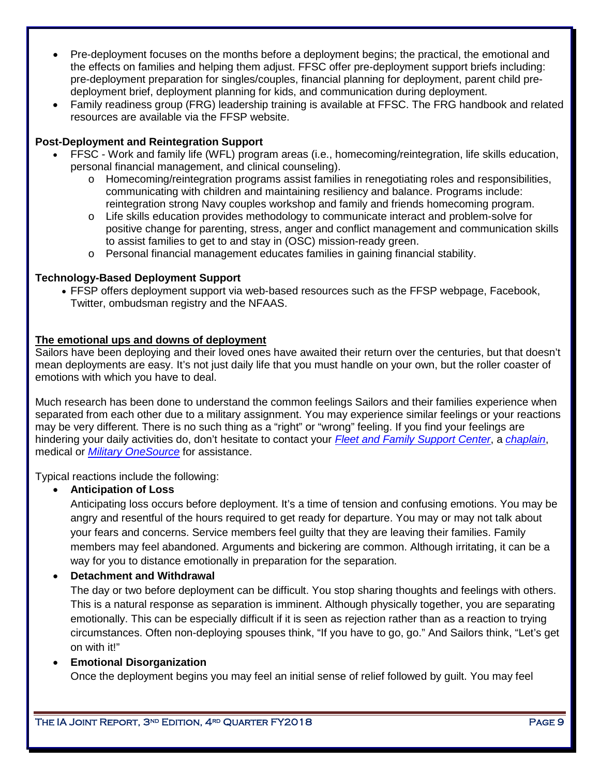- Pre-deployment focuses on the months before a deployment begins; the practical, the emotional and the effects on families and helping them adjust. FFSC offer pre-deployment support briefs including: pre-deployment preparation for singles/couples, financial planning for deployment, parent child predeployment brief, deployment planning for kids, and communication during deployment.
- Family readiness group (FRG) leadership training is available at FFSC. The FRG handbook and related resources are available via the FFSP website.

## **Post-Deployment and Reintegration Support**

- FFSC Work and family life (WFL) program areas (i.e., homecoming/reintegration, life skills education, personal financial management, and clinical counseling).
	- o Homecoming/reintegration programs assist families in renegotiating roles and responsibilities, communicating with children and maintaining resiliency and balance. Programs include: reintegration strong Navy couples workshop and family and friends homecoming program.
	- o Life skills education provides methodology to communicate interact and problem-solve for positive change for parenting, stress, anger and conflict management and communication skills to assist families to get to and stay in (OSC) mission-ready green.
	- o Personal financial management educates families in gaining financial stability.

## **Technology-Based Deployment Support**

• FFSP offers deployment support via web-based resources such as the FFSP webpage, Facebook, Twitter, ombudsman registry and the NFAAS.

## **The emotional ups and downs of deployment**

Sailors have been deploying and their loved ones have awaited their return over the centuries, but that doesn't mean deployments are easy. It's not just daily life that you must handle on your own, but the roller coaster of emotions with which you have to deal.

Much research has been done to understand the common feelings Sailors and their families experience when separated from each other due to a military assignment. You may experience similar feelings or your reactions may be very different. There is no such thing as a "right" or "wrong" feeling. If you find your feelings are hindering your daily activities do, don't hesitate to contact your *[Fleet and Family Support Center](https://www.cnic.navy.mil/ffr/family_readiness/fleet_and_family_support_program/regional_office_program_directory.html)*, a *[chaplain](http://www.chaplain.navy.mil/)*, medical or *[Military OneSource](http://www.militaryonesource.mil/)* for assistance.

Typical reactions include the following:

## • **Anticipation of Loss**

Anticipating loss occurs before deployment. It's a time of tension and confusing emotions. You may be angry and resentful of the hours required to get ready for departure. You may or may not talk about your fears and concerns. Service members feel guilty that they are leaving their families. Family members may feel abandoned. Arguments and bickering are common. Although irritating, it can be a way for you to distance emotionally in preparation for the separation.

## • **Detachment and Withdrawal**

The day or two before deployment can be difficult. You stop sharing thoughts and feelings with others. This is a natural response as separation is imminent. Although physically together, you are separating emotionally. This can be especially difficult if it is seen as rejection rather than as a reaction to trying circumstances. Often non-deploying spouses think, "If you have to go, go." And Sailors think, "Let's get on with it!"

## • **Emotional Disorganization**

Once the deployment begins you may feel an initial sense of relief followed by guilt. You may feel